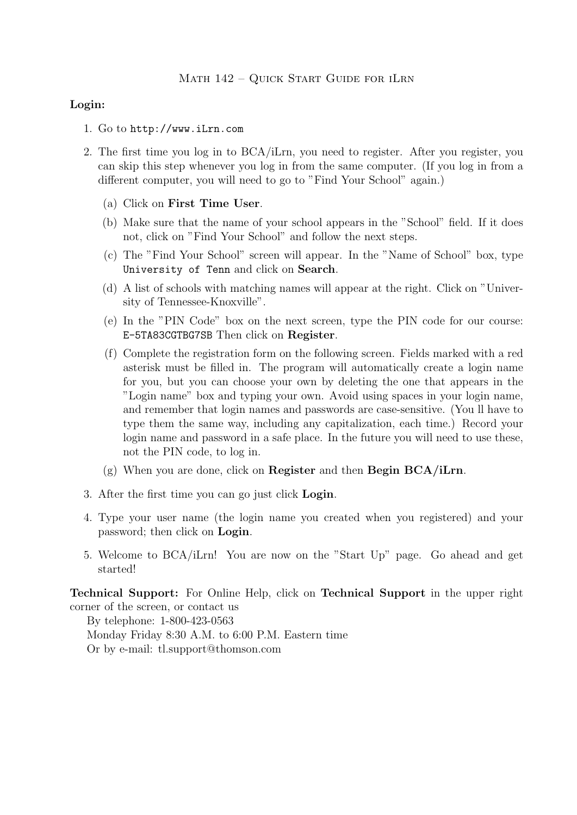## Login:

- 1. Go to http://www.iLrn.com
- 2. The first time you log in to BCA/iLrn, you need to register. After you register, you can skip this step whenever you log in from the same computer. (If you log in from a different computer, you will need to go to "Find Your School" again.)
	- (a) Click on First Time User.
	- (b) Make sure that the name of your school appears in the "School" field. If it does not, click on "Find Your School" and follow the next steps.
	- (c) The "Find Your School" screen will appear. In the "Name of School" box, type University of Tenn and click on Search.
	- (d) A list of schools with matching names will appear at the right. Click on "University of Tennessee-Knoxville".
	- (e) In the "PIN Code" box on the next screen, type the PIN code for our course: E-5TA83CGTBG7SB Then click on Register.
	- (f) Complete the registration form on the following screen. Fields marked with a red asterisk must be filled in. The program will automatically create a login name for you, but you can choose your own by deleting the one that appears in the "Login name" box and typing your own. Avoid using spaces in your login name, and remember that login names and passwords are case-sensitive. (You ll have to type them the same way, including any capitalization, each time.) Record your login name and password in a safe place. In the future you will need to use these, not the PIN code, to log in.
	- (g) When you are done, click on Register and then Begin BCA/iLrn.
- 3. After the first time you can go just click Login.
- 4. Type your user name (the login name you created when you registered) and your password; then click on Login.
- 5. Welcome to BCA/iLrn! You are now on the "Start Up" page. Go ahead and get started!

Technical Support: For Online Help, click on Technical Support in the upper right corner of the screen, or contact us

By telephone: 1-800-423-0563 Monday Friday 8:30 A.M. to 6:00 P.M. Eastern time Or by e-mail: tl.support@thomson.com